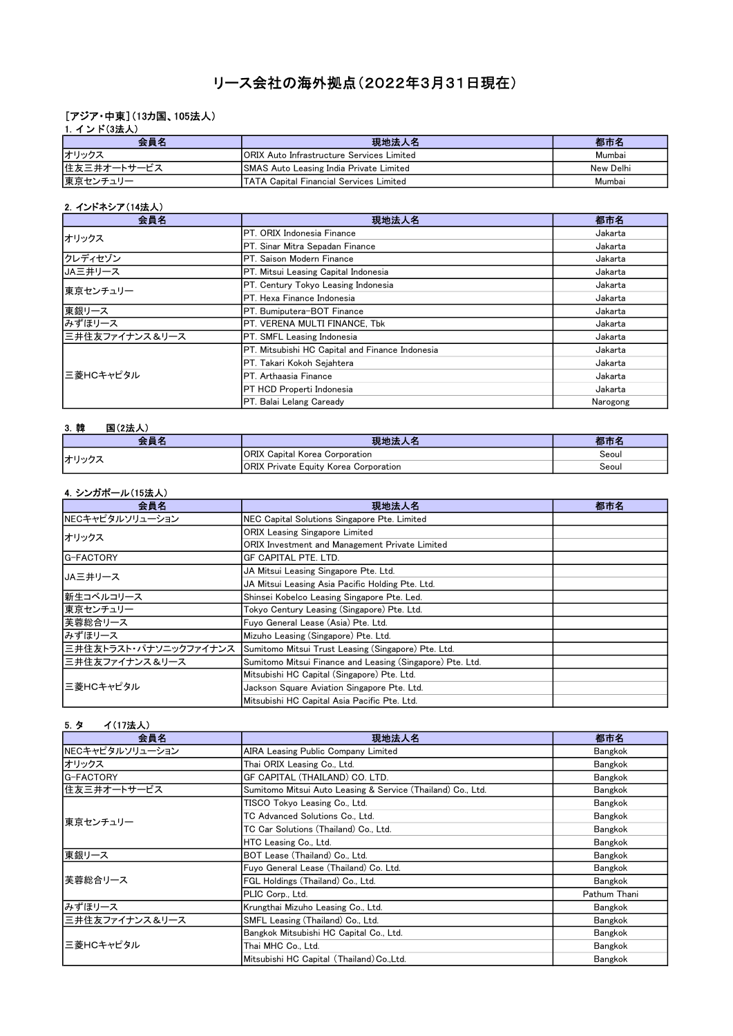# リース会社の海外拠点(2022年3月31日現在)

#### [アジア・中東](13カ国、105法人)

| 1. インド(3法人) |                                                  |           |
|-------------|--------------------------------------------------|-----------|
| 会員名         | 現地法人名                                            | 都市名       |
| オリックス       | <b>ORIX Auto Infrastructure Services Limited</b> | Mumbai    |
| 住友三井オートサービス | SMAS Auto Leasing India Private Limited          | New Delhi |
| 東京センチュリー    | <b>ITATA Capital Financial Services Limited</b>  | Mumbai    |

#### 2.インドネシア(14法人)

| 会員名            | 現地法人名                                           | 都市名      |
|----------------|-------------------------------------------------|----------|
| オリックス          | <b>IPT. ORIX I</b> ndonesia Finance             | Jakarta  |
|                | PT. Sinar Mitra Sepadan Finance                 | Jakarta  |
| クレディセゾン        | PT. Saison Modern Finance                       | Jakarta  |
| JA三井リース        | PT. Mitsui Leasing Capital Indonesia            | Jakarta  |
| 東京センチュリー       | PT. Century Tokyo Leasing Indonesia             | Jakarta  |
|                | <b>IPT. Hexa Finance Indonesia</b>              | Jakarta  |
| 東銀リース          | PT. Bumiputera-BOT Finance                      | Jakarta  |
| みずほリース         | PT. VERENA MULTI FINANCE, Tbk                   | Jakarta  |
| 三井住友ファイナンス&リース | PT. SMFL Leasing Indonesia                      | Jakarta  |
| 三菱HCキャピタル      | PT. Mitsubishi HC Capital and Finance Indonesia | Jakarta  |
|                | IPT. Takari Kokoh Seiahtera                     | Jakarta  |
|                | PT. Arthaasia Finance                           | Jakarta  |
|                | PT HCD Properti Indonesia                       | Jakarta  |
|                | PT. Balai Lelang Caready                        | Narogong |

#### 3.韓 国(2法人) 会員名 現地法人名 都市名 ORIX Capital Korea Corporation **Secure 2018** Seoul ORIX Private Equity Korea Corporation **Secure 2018** Seoul オリックス

### 4.シンガポール(15法人)

| 会員名                   | 現地法人名                                                     | 都市名 |
|-----------------------|-----------------------------------------------------------|-----|
| NECキャピタルソリューション       | NEC Capital Solutions Singapore Pte. Limited              |     |
| オリックス                 | <b>ORIX Leasing Singapore Limited</b>                     |     |
|                       | ORIX Investment and Management Private Limited            |     |
| G-FACTORY             | GF CAPITAL PTE. LTD.                                      |     |
| IJA三井リース              | JA Mitsui Leasing Singapore Pte. Ltd.                     |     |
|                       | JA Mitsui Leasing Asia Pacific Holding Pte. Ltd.          |     |
| 新生コベルコリース             | Shinsei Kobelco Leasing Singapore Pte. Led.               |     |
| 東京センチュリー              | Tokyo Century Leasing (Singapore) Pte. Ltd.               |     |
| 芙蓉総合リース               | Fuyo General Lease (Asia) Pte. Ltd.                       |     |
| みずほリース                | Mizuho Leasing (Singapore) Pte. Ltd.                      |     |
| 三井住友トラスト・パナソニックファイナンス | Sumitomo Mitsui Trust Leasing (Singapore) Pte. Ltd.       |     |
| 三井住友ファイナンス&リース        | Sumitomo Mitsui Finance and Leasing (Singapore) Pte. Ltd. |     |
| 三菱HCキャピタル             | Mitsubishi HC Capital (Singapore) Pte. Ltd.               |     |
|                       | Jackson Square Aviation Singapore Pte. Ltd.               |     |
|                       | Mitsubishi HC Capital Asia Pacific Pte. Ltd.              |     |

### 5.タ イ(17法人)

| 会員名             | 現地法人名                                                       | 都市名          |
|-----------------|-------------------------------------------------------------|--------------|
| NECキャピタルソリューション | AIRA Leasing Public Company Limited                         | Bangkok      |
| オリックス           | Thai ORIX Leasing Co., Ltd.                                 | Bangkok      |
| G-FACTORY       | GF CAPITAL (THAILAND) CO. LTD.                              | Bangkok      |
| 住友三井オートサービス     | Sumitomo Mitsui Auto Leasing & Service (Thailand) Co., Ltd. | Bangkok      |
|                 | TISCO Tokyo Leasing Co., Ltd.                               | Bangkok      |
| 東京センチュリー        | TC Advanced Solutions Co., Ltd.                             | Bangkok      |
|                 | TC Car Solutions (Thailand) Co., Ltd.                       | Bangkok      |
|                 | HTC Leasing Co., Ltd.                                       | Bangkok      |
| 東銀リース           | BOT Lease (Thailand) Co., Ltd.                              | Bangkok      |
|                 | Fuyo General Lease (Thailand) Co. Ltd.                      | Bangkok      |
| 芙蓉総合リース         | FGL Holdings (Thailand) Co., Ltd.                           | Bangkok      |
|                 | PLIC Corp., Ltd.                                            | Pathum Thani |
| みずほリース          | Krungthai Mizuho Leasing Co., Ltd.                          | Bangkok      |
| 三井住友ファイナンス&リース  | SMFL Leasing (Thailand) Co., Ltd.                           | Bangkok      |
| 三菱HCキャピタル       | Bangkok Mitsubishi HC Capital Co., Ltd.                     | Bangkok      |
|                 | Thai MHC Co., Ltd.                                          | Bangkok      |
|                 | Mitsubishi HC Capital (Thailand) Co., Ltd.                  | Bangkok      |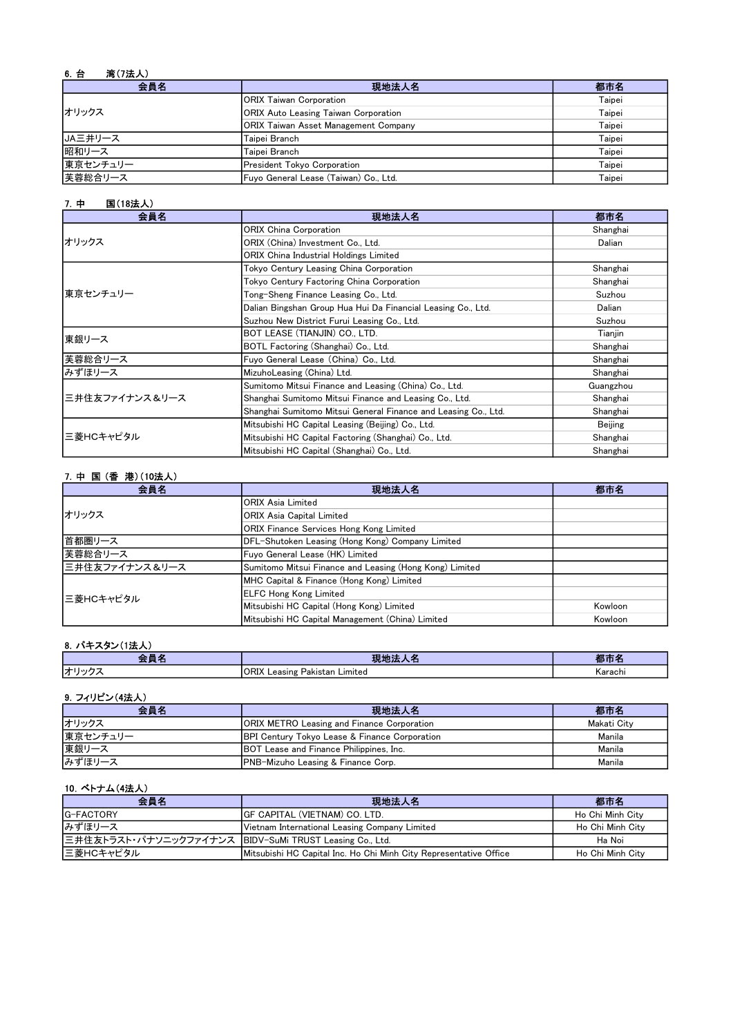| <b>湾(7法人)</b><br>6. 台 |                                             |        |
|-----------------------|---------------------------------------------|--------|
| 会員名                   | 現地法人名                                       | 都市名    |
|                       | <b>ORIX Taiwan Corporation</b>              | Taipei |
| オリックス                 | <b>ORIX Auto Leasing Taiwan Corporation</b> | Taipei |
|                       | <b>ORIX Taiwan Asset Management Company</b> | Taipei |
| JA三井リース               | Taipei Branch                               | Taipei |
| 昭和リース                 | Taipei Branch                               | Taipei |
| 東京センチュリー              | President Tokyo Corporation                 | Taipei |
| 芙蓉総合リース               | Fuyo General Lease (Taiwan) Co., Ltd.       | Taipei |

#### 7.中 国(18法人)

| 会員名            | 現地法人名                                                          | 都市名       |
|----------------|----------------------------------------------------------------|-----------|
|                | <b>ORIX China Corporation</b>                                  | Shanghai  |
| オリックス          | ORIX (China) Investment Co., Ltd.                              | Dalian    |
|                | ORIX China Industrial Holdings Limited                         |           |
|                | Tokyo Century Leasing China Corporation                        | Shanghai  |
|                | Tokyo Century Factoring China Corporation                      | Shanghai  |
| 東京センチュリー       | Tong-Sheng Finance Leasing Co., Ltd.                           | Suzhou    |
|                | Dalian Bingshan Group Hua Hui Da Financial Leasing Co., Ltd.   | Dalian    |
|                | Suzhou New District Furui Leasing Co., Ltd.                    | Suzhou    |
| 東銀リース          | BOT LEASE (TIANJIN) CO., LTD.                                  | Tianjin   |
|                | BOTL Factoring (Shanghai) Co., Ltd.                            | Shanghai  |
| 芙蓉総合リース        | Fuyo General Lease (China) Co., Ltd.                           | Shanghai  |
| みずほリース         | MizuhoLeasing (China) Ltd.                                     | Shanghai  |
| 三井住友ファイナンス&リース | Sumitomo Mitsui Finance and Leasing (China) Co., Ltd.          | Guangzhou |
|                | Shanghai Sumitomo Mitsui Finance and Leasing Co., Ltd.         | Shanghai  |
|                | Shanghai Sumitomo Mitsui General Finance and Leasing Co., Ltd. | Shanghai  |
| 三菱HCキャピタル      | Mitsubishi HC Capital Leasing (Beijing) Co., Ltd.              | Beijing   |
|                | Mitsubishi HC Capital Factoring (Shanghai) Co., Ltd.           | Shanghai  |
|                | Mitsubishi HC Capital (Shanghai) Co., Ltd.                     | Shanghai  |

### 7.中 国 (香 港)(10法人)

| 会員名            | 現地法人名                                                   | 都市名     |
|----------------|---------------------------------------------------------|---------|
|                | <b>ORIX Asia Limited</b>                                |         |
| オリックス          | <b>ORIX Asia Capital Limited</b>                        |         |
|                | <b>ORIX Finance Services Hong Kong Limited</b>          |         |
| 首都圏リース         | DFL-Shutoken Leasing (Hong Kong) Company Limited        |         |
| 芙蓉総合リース        | Fuyo General Lease (HK) Limited                         |         |
| 三井住友ファイナンス&リース | Sumitomo Mitsui Finance and Leasing (Hong Kong) Limited |         |
|                | MHC Capital & Finance (Hong Kong) Limited               |         |
| 三菱HCキャピタル      | <b>ELFC Hong Kong Limited</b>                           |         |
|                | Mitsubishi HC Capital (Hong Kong) Limited               | Kowloon |
|                | Mitsubishi HC Capital Management (China) Limited        | Kowloon |

#### 8.パキスタン(1法人)

|                         | .                                                                   |         |
|-------------------------|---------------------------------------------------------------------|---------|
| lđ<br>— 1 I м <i>ія</i> | $\bigcap$<br>Limited<br>Pakistan<br>easing<br><b>URIA</b><br>.∟ea∍⊬ | Karachi |

## 9. フィリピン(4法人)

| 会員名      | 現地法人名                                                    | 都市名         |
|----------|----------------------------------------------------------|-------------|
| オリックス    | <b>ORIX METRO Leasing and Finance Corporation</b>        | Makati City |
| 東京センチュリー | <b>BPI Century Tokyo Lease &amp; Finance Corporation</b> | Manila      |
| 東銀リース    | BOT Lease and Finance Philippines, Inc.                  | Manila      |
| みずほリース   | PNB-Mizuho Leasing & Finance Corp.                       | Manila      |

#### 10.ベトナム(4法人)

| 会員名                                                      | 現地法人名                                                             | 都市名              |
|----------------------------------------------------------|-------------------------------------------------------------------|------------------|
| IG-FACTORY                                               | IGF CAPITAL (VIETNAM) CO. LTD.                                    | Ho Chi Minh City |
| みずほリース                                                   | Vietnam International Leasing Company Limited                     | Ho Chi Minh City |
| 三井住友トラスト・パナソニックファイナンス  BIDV-SuMi TRUST Leasing Co., Ltd. |                                                                   | Ha Noi           |
| 三菱HCキャピタル                                                | Mitsubishi HC Capital Inc. Ho Chi Minh City Representative Office | Ho Chi Minh City |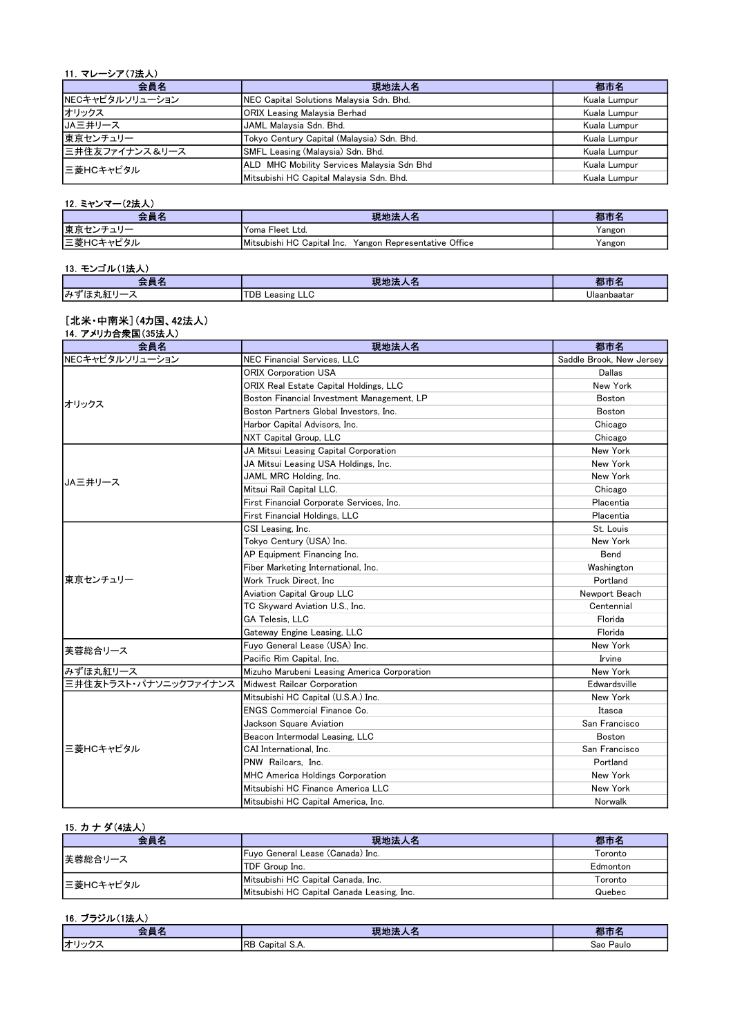#### 11.マレーシア(7法人)

| 会員名             | 現地法人名                                      | 都市名          |
|-----------------|--------------------------------------------|--------------|
| NECキャピタルソリューション | NEC Capital Solutions Malaysia Sdn. Bhd.   | Kuala Lumpur |
| オリックス           | <b>ORIX Leasing Malaysia Berhad</b>        | Kuala Lumpur |
| <b>JA三井リース</b>  | JAML Malaysia Sdn. Bhd.                    | Kuala Lumpur |
| 東京センチュリー        | Tokyo Century Capital (Malaysia) Sdn. Bhd. | Kuala Lumpur |
| 三井住友ファイナンス&リース  | SMFL Leasing (Malaysia) Sdn. Bhd.          | Kuala Lumpur |
| l三菱HCキャピタル      | ALD MHC Mobility Services Malaysia Sdn Bhd | Kuala Lumpur |
|                 | Mitsubishi HC Capital Malaysia Sdn. Bhd.   | Kuala Lumpur |

#### 12.ミャンマー(2法人)

| 会員名            | 現地法人名                                                      | 都市名    |
|----------------|------------------------------------------------------------|--------|
| 東京セン<br>ヽノキュリー | Yoma Fleet Ltd.                                            | Yangon |
| 三菱HCキャピ        | Yangon Representative Office<br>Mitsubishi HC Capital Inc. | Yangon |

### 13.モンゴル(1法人)

| - -<br><b>즈戶口</b> | <b>The Card</b><br>544<br>$\sim$<br>クレー | 郁田          |
|-------------------|-----------------------------------------|-------------|
| みずに<br>は丸紅<br>╭   | <b>TDB Leasing LLC</b>                  | Ulaanbaatar |

#### [北米・中南米](4カ国、42法人)

| 14. アメリカ合衆国(35法人)<br>会員名 | 現地法人名                                       | 都市名                      |
|--------------------------|---------------------------------------------|--------------------------|
| NECキャピタルソリューション          | NEC Financial Services. LLC                 | Saddle Brook, New Jersey |
|                          | <b>ORIX Corporation USA</b>                 | Dallas                   |
|                          | ORIX Real Estate Capital Holdings, LLC      | New York                 |
|                          | Boston Financial Investment Management, LP  | <b>Boston</b>            |
| オリックス                    | Boston Partners Global Investors, Inc.      | <b>Boston</b>            |
|                          | Harbor Capital Advisors. Inc.               | Chicago                  |
|                          | NXT Capital Group, LLC                      | Chicago                  |
|                          | JA Mitsui Leasing Capital Corporation       | New York                 |
|                          | JA Mitsui Leasing USA Holdings, Inc.        | New York                 |
|                          | JAML MRC Holding, Inc.                      | New York                 |
| JA三井リース                  | Mitsui Rail Capital LLC.                    | Chicago                  |
|                          | First Financial Corporate Services, Inc.    | Placentia                |
|                          | <b>First Financial Holdings, LLC</b>        | Placentia                |
|                          | CSI Leasing, Inc.                           | St. Louis                |
|                          | Tokyo Century (USA) Inc.                    | New York                 |
|                          | AP Equipment Financing Inc.                 | Bend                     |
|                          | Fiber Marketing International, Inc.         | Washington               |
| 東京センチュリー                 | Work Truck Direct. Inc                      | Portland                 |
|                          | <b>Aviation Capital Group LLC</b>           | Newport Beach            |
|                          | TC Skyward Aviation U.S., Inc.              | Centennial               |
|                          | <b>GA Telesis, LLC</b>                      | Florida                  |
|                          | Gateway Engine Leasing, LLC                 | Florida                  |
| 芙蓉総合リース                  | Fuvo General Lease (USA) Inc.               | New York                 |
|                          | Pacific Rim Capital. Inc.                   | Irvine                   |
| みずほ丸紅リース                 | Mizuho Marubeni Leasing America Corporation | New York                 |
| 三井住友トラスト・パナソニックファイナンス    | Midwest Railcar Corporation                 | Edwardsville             |
|                          | Mitsubishi HC Capital (U.S.A.) Inc.         | New York                 |
|                          | <b>ENGS Commercial Finance Co.</b>          | Itasca                   |
|                          | Jackson Square Aviation                     | San Francisco            |
|                          | Beacon Intermodal Leasing, LLC              | Boston                   |
| 三菱HCキャピタル                | CAI International. Inc.                     | San Francisco            |
|                          | PNW Railcars, Inc.                          | Portland                 |
|                          | <b>MHC America Holdings Corporation</b>     | New York                 |
|                          | Mitsubishi HC Finance America LLC           | New York                 |
|                          | Mitsubishi HC Capital America, Inc.         | Norwalk                  |

### 15.カ ナ ダ(4法人)

| 会員名       | 現地法人名                                      | 都市名      |
|-----------|--------------------------------------------|----------|
| 芙蓉総合リース   | Fuyo General Lease (Canada) Inc.           | Toronto  |
|           | <b>ITDF Group Inc.</b>                     | Edmonton |
| 三菱HCキャピタル | Mitsubishi HC Capital Canada, Inc.         | Toronto  |
|           | Mitsubishi HC Capital Canada Leasing, Inc. | Quebec   |

### 16.ブラジル(1法人)

| . .<br><u>and the second second</u><br>___ | <b>THE LOC</b><br>.<br>ᄉᆷ<br>つい | $\blacksquare$ |
|--------------------------------------------|---------------------------------|----------------|
| オリック                                       | <b>IRЬ</b>                      | Paulo          |
| ╭                                          | Capital S.A.                    | Sao            |